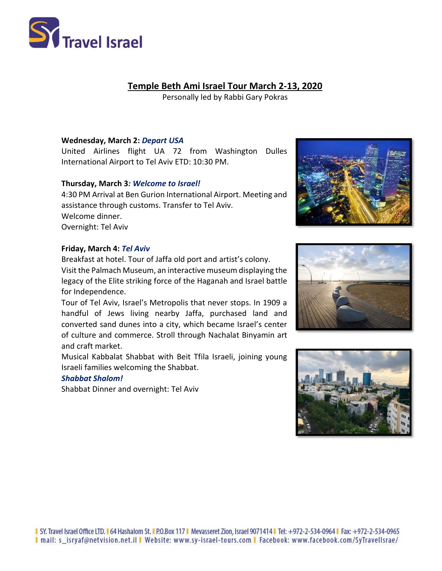

# **Temple Beth Ami Israel Tour March 2-13, 2020**

Personally led by Rabbi Gary Pokras

## **Wednesday, March 2:** *Depart USA*

United Airlines flight UA 72 from Washington Dulles International Airport to Tel Aviv ETD: 10:30 PM.

## **Thursday, March 3***: Welcome to Israel!*

4:30 PM Arrival at Ben Gurion International Airport. Meeting and assistance through customs. Transfer to Tel Aviv. Welcome dinner. Overnight: Tel Aviv

#### **Friday, March 4:** *Tel Aviv*

Breakfast at hotel. Tour of Jaffa old port and artist's colony. Visit the Palmach Museum, an interactive museum displaying the legacy of the Elite striking force of the Haganah and Israel battle for Independence.

Tour of Tel Aviv, Israel's Metropolis that never stops. In 1909 a handful of Jews living nearby Jaffa, purchased land and converted sand dunes into a city, which became Israel's center of culture and commerce. Stroll through Nachalat Binyamin art and craft market.

Musical Kabbalat Shabbat with Beit Tfila Israeli, joining young Israeli families welcoming the Shabbat.

## *Shabbat Shalom!*

Shabbat Dinner and overnight: Tel Aviv





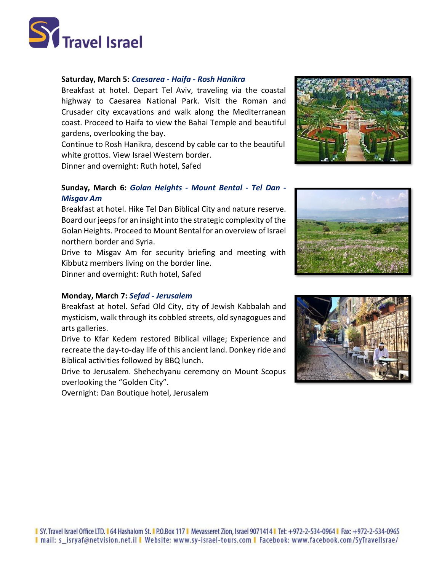

#### **Saturday, March 5:** *Caesarea - Haifa - Rosh Hanikra*

Breakfast at hotel. Depart Tel Aviv, traveling via the coastal highway to Caesarea National Park. Visit the Roman and Crusader city excavations and walk along the Mediterranean coast. Proceed to Haifa to view the Bahai Temple and beautiful gardens, overlooking the bay.

Continue to Rosh Hanikra, descend by cable car to the beautiful white grottos. View Israel Western border.

Dinner and overnight: Ruth hotel, Safed

## **Sunday, March 6:** *Golan Heights - Mount Bental - Tel Dan - Misgav Am*

Breakfast at hotel. Hike Tel Dan Biblical City and nature reserve. Board our jeeps for an insight into the strategic complexity of the Golan Heights. Proceed to Mount Bental for an overview of Israel northern border and Syria.

Drive to Misgav Am for security briefing and meeting with Kibbutz members living on the border line.

Dinner and overnight: Ruth hotel, Safed

#### **Monday, March 7:** *Sefad - Jerusalem*

Breakfast at hotel. Sefad Old City, city of Jewish Kabbalah and mysticism, walk through its cobbled streets, old synagogues and arts galleries.

Drive to Kfar Kedem restored Biblical village; Experience and recreate the day-to-day life of this ancient land. Donkey ride and Biblical activities followed by BBQ lunch.

Drive to Jerusalem. Shehechyanu ceremony on Mount Scopus overlooking the "Golden City".

Overnight: Dan Boutique hotel, Jerusalem





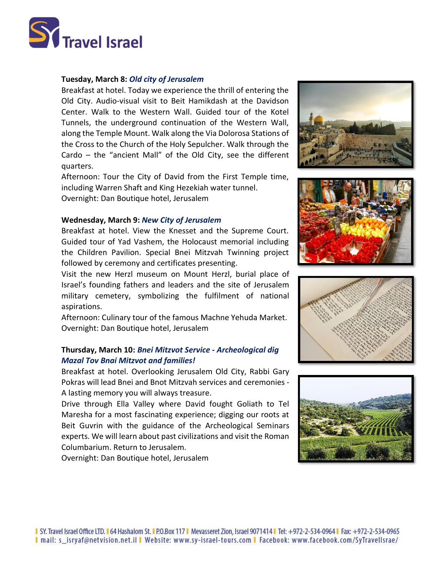

## **Tuesday, March 8:** *Old city of Jerusalem*

Breakfast at hotel. Today we experience the thrill of entering the Old City. Audio-visual visit to Beit Hamikdash at the Davidson Center. Walk to the Western Wall. Guided tour of the Kotel Tunnels, the underground continuation of the Western Wall, along the Temple Mount. Walk along the Via Dolorosa Stations of the Cross to the Church of the Holy Sepulcher. Walk through the Cardo – the "ancient Mall" of the Old City, see the different quarters.

Afternoon: Tour the City of David from the First Temple time, including Warren Shaft and King Hezekiah water tunnel. Overnight: Dan Boutique hotel, Jerusalem

#### **Wednesday, March 9:** *New City of Jerusalem*

Breakfast at hotel. View the Knesset and the Supreme Court. Guided tour of Yad Vashem, the Holocaust memorial including the Children Pavilion. Special Bnei Mitzvah Twinning project followed by ceremony and certificates presenting.

Visit the new Herzl museum on Mount Herzl, burial place of Israel's founding fathers and leaders and the site of Jerusalem military cemetery, symbolizing the fulfilment of national aspirations.

Afternoon: Culinary tour of the famous Machne Yehuda Market. Overnight: Dan Boutique hotel, Jerusalem

## **Thursday, March 10:** *Bnei Mitzvot Service - Archeological dig Mazal Tov Bnai Mitzvot and families!*

Breakfast at hotel. Overlooking Jerusalem Old City, Rabbi Gary Pokras will lead Bnei and Bnot Mitzvah services and ceremonies - A lasting memory you will always treasure.

Drive through Ella Valley where David fought Goliath to Tel Maresha for a most fascinating experience; digging our roots at Beit Guvrin with the guidance of the Archeological Seminars experts. We will learn about past civilizations and visit the Roman Columbarium. Return to Jerusalem.

Overnight: Dan Boutique hotel, Jerusalem